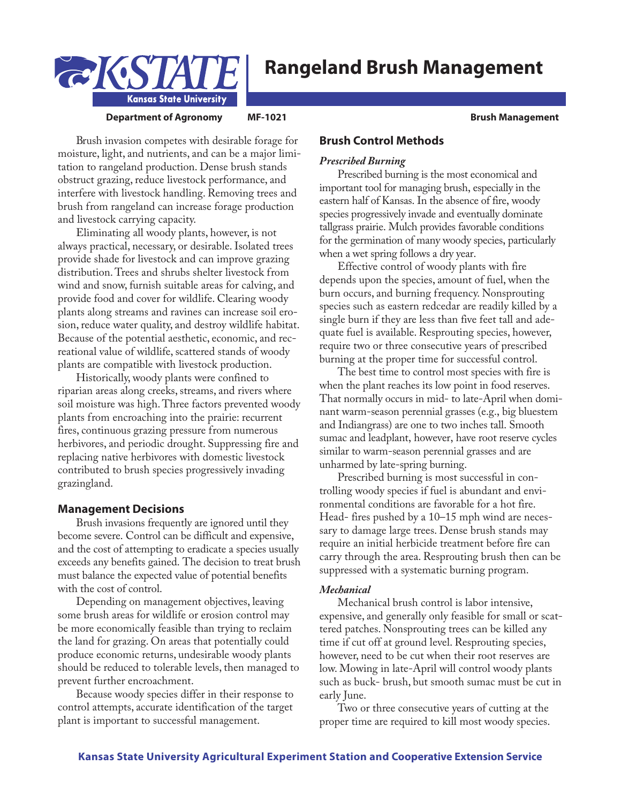



### **Department of Agronomy MF-1021 Brush Brush Brush Brush Management**

Brush invasion competes with desirable forage for moisture, light, and nutrients, and can be a major limitation to rangeland production. Dense brush stands obstruct grazing, reduce livestock performance, and interfere with livestock handling. Removing trees and brush from rangeland can increase forage production and livestock carrying capacity.

Eliminating all woody plants, however, is not always practical, necessary, or desirable. Isolated trees provide shade for livestock and can improve grazing distribution. Trees and shrubs shelter livestock from wind and snow, furnish suitable areas for calving, and provide food and cover for wildlife. Clearing woody plants along streams and ravines can increase soil erosion, reduce water quality, and destroy wildlife habitat. Because of the potential aesthetic, economic, and recreational value of wildlife, scattered stands of woody plants are compatible with livestock production.

Historically, woody plants were confined to riparian areas along creeks, streams, and rivers where soil moisture was high. Three factors prevented woody plants from encroaching into the prairie: recurrent fires, continuous grazing pressure from numerous herbivores, and periodic drought. Suppressing fire and replacing native herbivores with domestic livestock contributed to brush species progressively invading grazingland.

# **Management Decisions**

Brush invasions frequently are ignored until they become severe. Control can be difficult and expensive, and the cost of attempting to eradicate a species usually exceeds any benefits gained. The decision to treat brush must balance the expected value of potential benefits with the cost of control.

Depending on management objectives, leaving some brush areas for wildlife or erosion control may be more economically feasible than trying to reclaim the land for grazing. On areas that potentially could produce economic returns, undesirable woody plants should be reduced to tolerable levels, then managed to prevent further encroachment.

Because woody species differ in their response to control attempts, accurate identification of the target plant is important to successful management.

# **Brush Control Methods**

### *Prescribed Burning*

Prescribed burning is the most economical and important tool for managing brush, especially in the eastern half of Kansas. In the absence of fire, woody species progressively invade and eventually dominate tallgrass prairie. Mulch provides favorable conditions for the germination of many woody species, particularly when a wet spring follows a dry year.

Effective control of woody plants with fire depends upon the species, amount of fuel, when the burn occurs, and burning frequency. Nonsprouting species such as eastern redcedar are readily killed by a single burn if they are less than five feet tall and adequate fuel is available. Resprouting species, however, require two or three consecutive years of prescribed burning at the proper time for successful control.

The best time to control most species with fire is when the plant reaches its low point in food reserves. That normally occurs in mid- to late-April when dominant warm-season perennial grasses (e.g., big bluestem and Indiangrass) are one to two inches tall. Smooth sumac and leadplant, however, have root reserve cycles similar to warm-season perennial grasses and are unharmed by late-spring burning.

Prescribed burning is most successful in controlling woody species if fuel is abundant and environmental conditions are favorable for a hot fire. Head- fires pushed by a 10–15 mph wind are necessary to damage large trees. Dense brush stands may require an initial herbicide treatment before fire can carry through the area. Resprouting brush then can be suppressed with a systematic burning program.

#### *Mechanical*

Mechanical brush control is labor intensive, expensive, and generally only feasible for small or scattered patches. Nonsprouting trees can be killed any time if cut off at ground level. Resprouting species, however, need to be cut when their root reserves are low. Mowing in late-April will control woody plants such as buck- brush, but smooth sumac must be cut in early June.

Two or three consecutive years of cutting at the proper time are required to kill most woody species.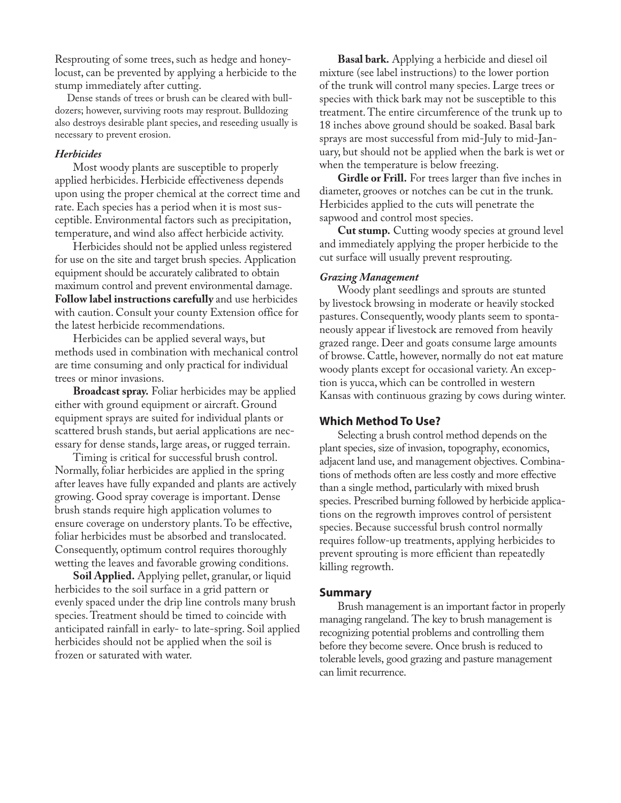Resprouting of some trees, such as hedge and honeylocust, can be prevented by applying a herbicide to the stump immediately after cutting.

Dense stands of trees or brush can be cleared with bulldozers; however, surviving roots may resprout. Bulldozing also destroys desirable plant species, and reseeding usually is necessary to prevent erosion.

#### *Herbicides*

Most woody plants are susceptible to properly applied herbicides. Herbicide effectiveness depends upon using the proper chemical at the correct time and rate. Each species has a period when it is most susceptible. Environmental factors such as precipitation, temperature, and wind also affect herbicide activity.

Herbicides should not be applied unless registered for use on the site and target brush species. Application equipment should be accurately calibrated to obtain maximum control and prevent environmental damage. **Follow label instructions carefully** and use herbicides with caution. Consult your county Extension office for the latest herbicide recommendations.

Herbicides can be applied several ways, but methods used in combination with mechanical control are time consuming and only practical for individual trees or minor invasions.

**Broadcast spray.** Foliar herbicides may be applied either with ground equipment or aircraft. Ground equipment sprays are suited for individual plants or scattered brush stands, but aerial applications are necessary for dense stands, large areas, or rugged terrain.

Timing is critical for successful brush control. Normally, foliar herbicides are applied in the spring after leaves have fully expanded and plants are actively growing. Good spray coverage is important. Dense brush stands require high application volumes to ensure coverage on understory plants. To be effective, foliar herbicides must be absorbed and translocated. Consequently, optimum control requires thoroughly wetting the leaves and favorable growing conditions.

**Soil Applied.** Applying pellet, granular, or liquid herbicides to the soil surface in a grid pattern or evenly spaced under the drip line controls many brush species. Treatment should be timed to coincide with anticipated rainfall in early- to late-spring. Soil applied herbicides should not be applied when the soil is frozen or saturated with water.

**Basal bark.** Applying a herbicide and diesel oil mixture (see label instructions) to the lower portion of the trunk will control many species. Large trees or species with thick bark may not be susceptible to this treatment. The entire circumference of the trunk up to 18 inches above ground should be soaked. Basal bark sprays are most successful from mid-July to mid-January, but should not be applied when the bark is wet or when the temperature is below freezing.

**Girdle or Frill.** For trees larger than five inches in diameter, grooves or notches can be cut in the trunk. Herbicides applied to the cuts will penetrate the sapwood and control most species.

**Cut stump.** Cutting woody species at ground level and immediately applying the proper herbicide to the cut surface will usually prevent resprouting.

## *Grazing Management*

Woody plant seedlings and sprouts are stunted by livestock browsing in moderate or heavily stocked pastures. Consequently, woody plants seem to spontaneously appear if livestock are removed from heavily grazed range. Deer and goats consume large amounts of browse. Cattle, however, normally do not eat mature woody plants except for occasional variety. An exception is yucca, which can be controlled in western Kansas with continuous grazing by cows during winter.

## **Which Method To Use?**

Selecting a brush control method depends on the plant species, size of invasion, topography, economics, adjacent land use, and management objectives. Combinations of methods often are less costly and more effective than a single method, particularly with mixed brush species. Prescribed burning followed by herbicide applications on the regrowth improves control of persistent species. Because successful brush control normally requires follow-up treatments, applying herbicides to prevent sprouting is more efficient than repeatedly killing regrowth.

#### **Summary**

Brush management is an important factor in properly managing rangeland. The key to brush management is recognizing potential problems and controlling them before they become severe. Once brush is reduced to tolerable levels, good grazing and pasture management can limit recurrence.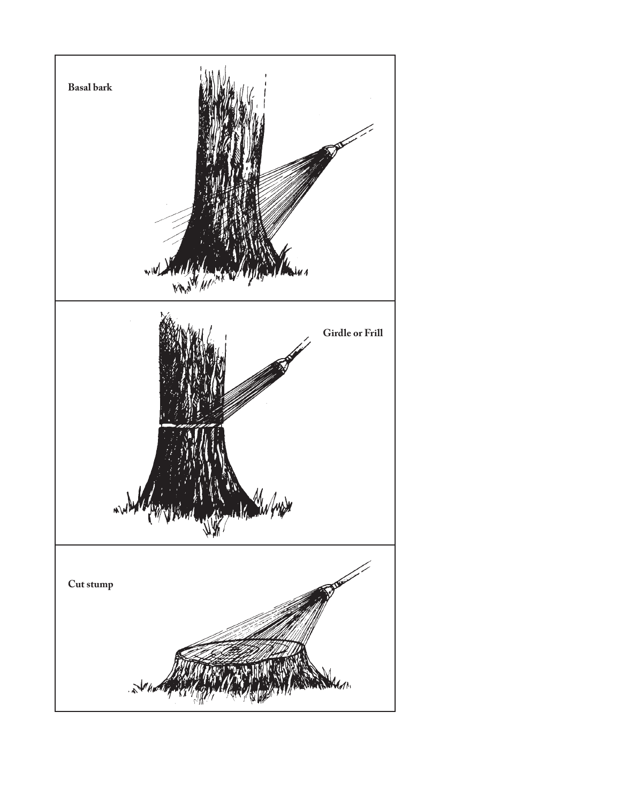